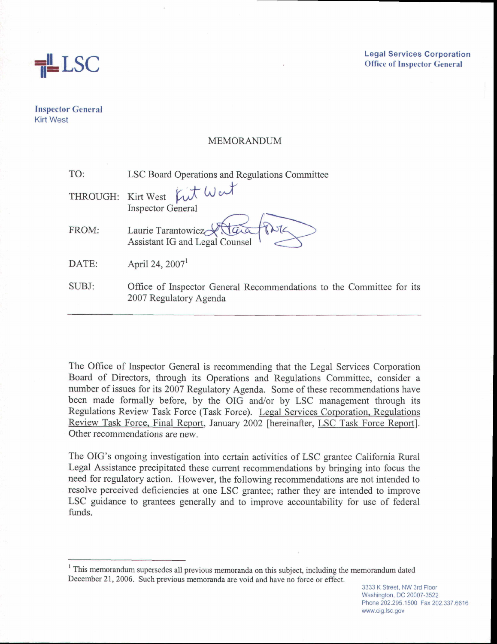

**Legal Services Corporation Ofice of Inspector General** 

**Inspector General Kirt West** 

# MEMORANDUM

| TO:   | LSC Board Operations and Regulations Committee                                                 |
|-------|------------------------------------------------------------------------------------------------|
|       | THROUGH: Kirt West Kut Wert                                                                    |
|       | <b>Inspector General</b>                                                                       |
| FROM: | Laurie Tarantowicz<br>Assistant IG and Legal Counsel                                           |
| DATE: | April 24, $20071$                                                                              |
| SUBJ: | Office of Inspector General Recommendations to the Committee for its<br>2007 Regulatory Agenda |

The Office of Inspector General is recommending that the Legal Services Corporation Board of Directors, through its Operations and Regulations Committee, consider a number of issues for its 2007 Regulatory Agenda. Some of these recommendations have been made formally before, by the OIG and/or by LSC management through its Regulations Review Task Force (Task Force). Legal Services Corporation, Regulations Review Task Force, Final Report, January 2002 [hereinafter, LSC Task Force Report]. Other recommendations are new.

The OIG's ongoing investigation into certain activities of LSC grantee California Rural Legal Assistance precipitated these current recommendations by bringing into focus the need for regulatory action. However, the following recommendations are not intended to resolve perceived deficiencies at one LSC grantee; rather they are intended to improve LSC guidance to grantees generally and to improve accountability for use of federal funds.

This memorandum supersedes all previous memoranda on this subject, including the memorandum dated December 21, 2006. Such previous memoranda are void and have no force or effect. December 21, 2006. Such previous memoranda are void and have no force or effect.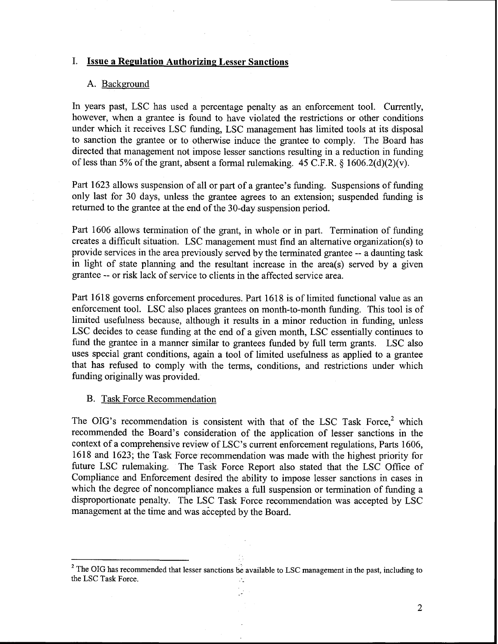# **I.** Issue a Regulation Authorizing Lesser Sanctions

#### A. Background

In years past, LSC has used a percentage penalty as an enforcement tool. Currently, however, when a grantee is found to have violated the restrictions or other conditions under which it receives LSC funding, LSC management has limited tools at its disposal to sanction the grantee or to otherwise induce the grantee to comply. The Board has directed that management not impose lesser sanctions resulting in a reduction in funding of less than 5% of the grant, absent a formal rulemaking.  $45$  C.F.R.  $\frac{1606.2(d)(2)}{v}$ .

Part 1623 allows suspension of all or part of a grantee's funding. Suspensions of funding only last for 30 days, unless the grantee agrees to an extension; suspended funding is returned to the grantee at the end of the 30-day suspension period.

Part 1606 allows termination of the grant, in whole or in part. Termination of funding creates a difficult situation. LSC management must find an alternative organization(s) to provide services in the area previously served by the terminated grantee -- a daunting task in light of state planning and the resultant increase in the area(s) served by a given grantee -- or risk lack of service to clients in the affected service area.

Part 1618 governs enforcement procedures. Part 1618 is of limited functional value as an enforcement tool. LSC also places grantees on month-to-month funding. This tool is of limited usefulness because, although it results in a minor reduction in funding, unless LSC decides to cease funding at the end of a given month, LSC essentially continues to fund the grantee in a manner similar to grantees funded by full term grants. LSC also uses special grant conditions, again a tool of limited usefulness as applied to a grantee that has refused to comply with the terms, conditions, and restrictions under which funding originally was provided.

# B. Task Force Recommendation

The OIG's recommendation is consistent with that of the LSC Task Force, $<sup>2</sup>$  which</sup> recommended the Board's consideration of the application of lesser sanctions in the context of a comprehensive review of LSC's current enforcement regulations, Parts 1606, 1618 and 1623; the Task Force recommendation was made with the highest priority for future LSC rulemaking. The Task Force Report also stated that the LSC Ofice of Compliance and Enforcement desired the ability to impose lesser sanctions in cases in which the degree of noncompliance makes a full suspension or termination of funding a disproportionate penalty. The LSC Task Force recommendation was accepted by LSC management at the time and was accepted by the Board.

<sup>&</sup>lt;sup>2</sup> The OIG has recommended that lesser sanctions be available to LSC management in the past, including to the LSC Task Force.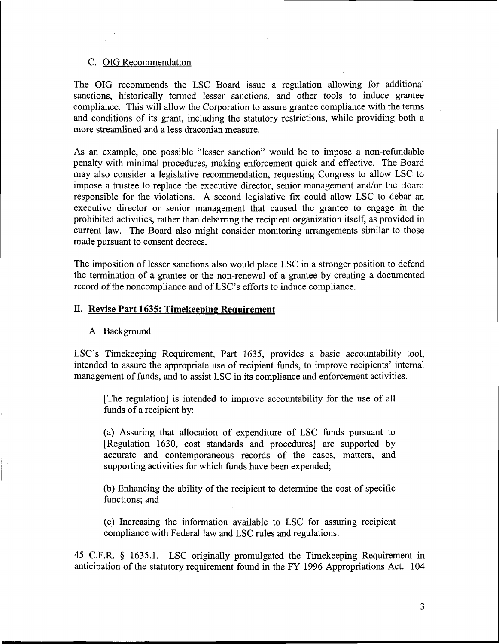### C. OIG Recommendation

The OIG recommends the LSC Board issue a regulation allowing for additional sanctions, historically termed lesser sanctions, and other tools to induce grantee compliance. This will allow the Corporation to assure grantee compliance with the terms and conditions of its grant, including the statutory restrictions, while providing both a more streamlined and a less draconian measure.

As an example, one possible "lesser sanction" would be to impose a non-refundable penalty with minimal procedures, making enforcement quick and effective. The Board may also consider a legislative recommendation, requesting Congress to allow LSC to impose a trustee to replace the executive director, senior management and/or the Board responsible for the violations. A second legislative fix could allow LSC to debar an executive director or senior management that caused the grantee to engage ih the prohibited activities, rather than debarring the recipient organization itself, as provided in current law. The Board also might consider monitoring arrangements similar to those made pursuant to consent decrees.

The imposition of lesser sanctions also would place LSC in a stronger position to defend the termination of a grantee or the non-renewal of a grantee by creating a documented record of the noncompliance and of LSC's efforts to induce compliance.

#### 11. **Revise Part 1635: Timekeeping Requirement**

#### A. Background

LSC's Timekeeping Requirement, Part 1635, provides a basic accountability tool, intended to assure the appropriate use of recipient funds, to improve recipients' internal management of funds, and to assist LSC in its compliance and enforcement activities.

[The regulation] is intended to improve accountability for the use of all funds of a recipient by:

(a) Assuring that allocation of expenditure of LSC funds pursuant to [Regulation 1630, cost standards and procedures] are supported by accurate and contemporaneous records of the cases, matters, and supporting activities for which funds have been expended;

(b) Enhancing the ability of the recipient to determine the cost of specific functions; and

(c) Increasing the information available to LSC for assuring recipient compliance with Federal law and LSC rules and regulations.

45 C.F.R. § 1635.1. LSC originally promulgated the Timekeeping Requirement in anticipation of the statutory requirement found in the FY 1996 Appropriations Act. 104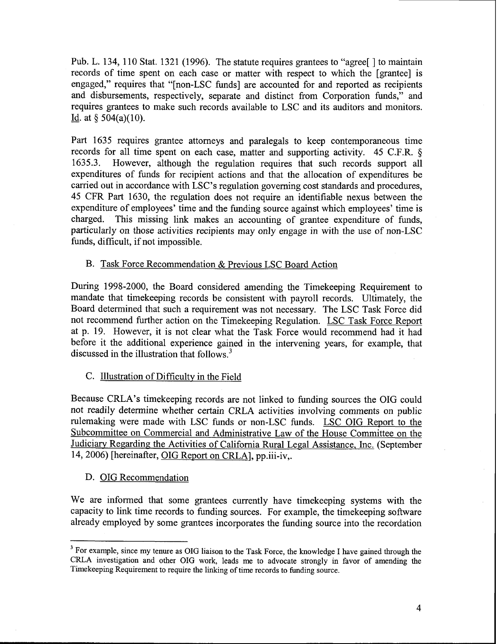Pub. L. 134, 110 Stat. 1321 (1996). The statute requires grantees to "agree" 1 to maintain records of time spent on each case or matter with respect to which the [grantee] is engaged," requires that "[non-LSC funds] are accounted for and reported as recipients and disbursements, respectively, separate and distinct from Corporation funds," and requires grantees to make such records available to LSC and its auditors and monitors.<br>Id. at *§* 504(a)(10).

Part 1635 requires grantee attorneys and paralegals to keep contemporaneous time records for all time spent on each case, matter and supporting activity. 45 C.F.R. § 1635.3. However, although the regulation requires that such records support all expenditures of funds for recipient actions and that the allocation of expenditures be carried out in accordance with LSC's regulation governing cost standards and procedures, 45 CFR Part 1630, the regulation does not require an identifiable nexus between the expenditure of employees' time and the funding source against which employees' time is charged. This missing link makes an accounting of grantee expenditure of funds, particularly on those activities recipients may only engage in with the use of non-LSC funds, difficult, if not impossible.

# B. Task Force Recommendation & Previous LSC Board Action

During 1998-2000, the Board considered amending the Timekeeping Requirement to mandate that timekeeping records be consistent with payroll records. Ultimately, the Board determined that such a requirement was not necessary. The LSC Task Force did not recommend further action on the Timekeeping Regulation. LSC Task Force Report at p. 19. However, it is not clear what the Task Force would recommend had it had before it the additional experience gained in the intervening years, for example, that discussed in the illustration that follows. $3$ 

# C. Illustration of Difficulty in the Field

Because CRLA's timekeeping records are not linked to funding sources the OIG could not readily determine whether certain CRLA activities involving comments on public rulemaking were made with LSC funds or non-LSC funds. LSC OIG Report to the Subcommittee on Commercial and Administrative Law of the House Committee on the Judiciary Regarding the Activities of California Rural Legal Assistance, Inc. (September 14,2006) [hereinafter, OIG Report on CRLA], pp.iii-iv,.

#### D. OIG Recommendation

We are informed that some grantees currently have timekeeping systems with the capacity to link time records to funding sources. For example, the timekeeping software already employed by some grantees incorporates the funding source into the recordation

<sup>&</sup>lt;sup>3</sup> For example, since my tenure as OIG liaison to the Task Force, the knowledge I have gained through the CRLA investigation and other OIG work, leads me to advocate strongly in favor of amending the Timekeeping Requirement to require the llnking of time records to funding source.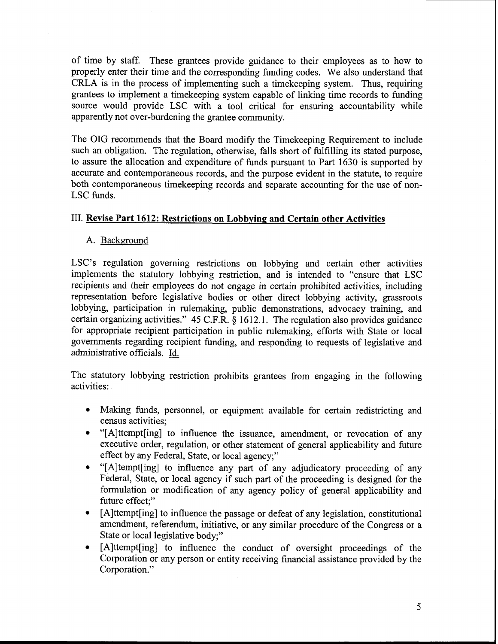of time by staff. These grantees provide guidance to their employees as to how to properly enter their time and the corresponding funding codes. We also understand that CRLA is in the process of implementing such a timekeeping system. Thus, requiring grantees to implement a timekeeping system capable of linking time records to funding source would provide LSC with a tool critical for ensuring accountability while apparently not over-burdening the grantee community.

The OIG recommends that the Board modify the Timekeeping Requirement to include such an obligation. The regulation, otherwise, falls short of fulfilling its stated purpose, to assure the allocation and expenditure of hnds pursuant to Part 1630 is supported by accurate and contemporaneous records, and the purpose evident in the statute, to require both contemporaneous timekeeping records and separate accounting for the use of non-LSC funds.

# **111. Revise Part 1612: Restrictions on Lobbying and Certain other Activities**

A. Background

LSC's regulation governing restrictions on lobbying and certain other activities implements the statutory lobbying restriction, and is intended to "ensure that LSC recipients and their employees do not engage in certain prohibited activities, including representation before legislative bodies or other direct lobbying activity, grassroots lobbying, participation in rulemaking, public demonstrations, advocacy training, and certain organizing activities." 45 C.F.R. **8** 1612.1. The regulation also provides guidance for appropriate recipient participation in public rulemaking, efforts with State or local governments regarding recipient funding, and responding to requests of legislative and administrative officials. Id.

The statutory lobbying restriction prohibits grantees from engaging in the following activities:

- Making funds, personnel, or equipment available for certain redistricting and census activities;
- "[A]ttempt[ing] to influence the issuance, amendment, or revocation of any executive order, regulation, or other statement of general applicability and future effect by any Federal, State, or local agency;"
- "[A]tempt[ing] to influence any part of any adjudicatory proceeding of any Federal, State, or local agency if such part of the proceeding is designed for the formulation or modification of any agency policy of general applicability and future effect;"
- [A]ttempt[ing] to influence the passage or defeat of any legislation, constitutional  $\bullet$ amendment, referendum, initiative, or any similar procedure of the Congress or a State or local legislative body;"
- [A]ttempt[ing] to influence the conduct of oversight proceedings of the  $\bullet$ Corporation or any person or entity receiving financial assistance provided by the Corporation."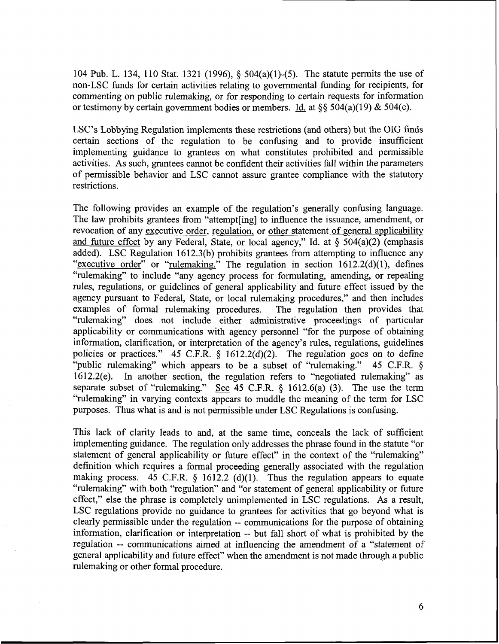104 Pub. L. 134, 1 10 Stat. 1321 (1996), *5* 504(a)(l)-(5). The statute permits the use of non-LSC funds for certain activities relating to governmental funding for recipients, for commenting on public rulemaking, or for responding to certain requests for information or testimony by certain government bodies or members. Id. at *\$5* 504(a)(19) & 504(e).

LSC's Lobbying Regulation implements these restrictions (and others) but the OIG finds certain sections of the regulation to be confusing and to provide insufficient implementing guidance to grantees on what constitutes prohibited and permissible activities. As such, grantees cannot be confident their activities fall within the parameters of permissible behavior and LSC cannot assure grantee compliance with the statutory restrictions.

The following provides an example of the regulation's generally confusing language. The law prohibits grantees from "attempt[ing] to influence the issuance, amendment, or revocation of any executive order, regulation, or other statement of general applicability and fiture effect by any Federal, State, or local agency," Id. at *5* 504(a)(2) (emphasis added). LSC Regulation 1612.3(b) prohibits grantees from attempting to influence any "executive order" or "rulemaking." The regulation in section 1612.2(d)(1), defines "rulemaking" to include "any agency process for formulating, amending, or repealing rules, regulations, or guidelines of general applicability and future effect issued by the agency pursuant to Federal, State, or local rulemaking procedures," and then includes examples of formal rulemaking procedures. The regulation then provides that "rulemaking" does not include either administrative proceedings of particular applicability or communications with agency personnel "for the purpose of obtaining information, clarification, or interpretation of the agency's rules, regulations, guidelines policies or practices." 45 C.F.R. *5* 1612.2(d)(2). The regulation goes on to define "public rulemaking" which appears to be a subset of "rulemaking." 45 C.F.R. § 16 12.2(e). In another section, the regulation refers to "negotiated rulemaking" as separate subset of "rulemaking." \$ee 45 C.F.R. *5* 1612.6(a) (3). The use the term "rulemaking" in varying contexts appears to muddle the meaning of the term for LSC purposes. Thus what is and is not permissible under LSC Regulations is confusing.

This lack of clarity leads to and, at the same time, conceals the lack of sufficient implementing guidance. The regulation only addresses the phrase found in the statute "or statement of general applicability or future effect" in the context of the "rulemaking" definition which requires a formal proceeding generally associated with the regulation making process. 45 C.F.R.  $\S$  1612.2 (d)(1). Thus the regulation appears to equate "rulemaking" with .both "regulation" and "or statement of general applicability or future effect," else the phrase is completely unimplemented in LSC regulations. As a result, LSC regulations provide no guidance to grantees for activities that go beyond what is clearly permissible under the regulation -- communications for the purpose of obtaining information, clarification or interpretation -- but fall short of what is prohibited by the regulation -- cornmunications aimed at influencing the amendment of a "statement of general applicability and future effect" when the amendment is not made through a public rulemaking or other formal procedure.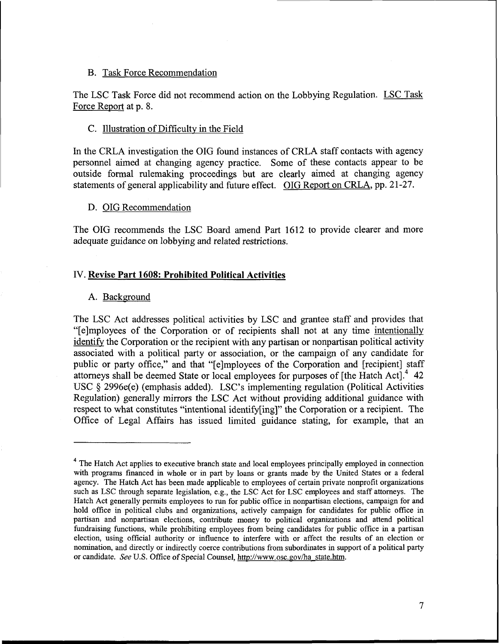# B. Task Force Recommendation

The LSC Task Force did not recommend action on the Lobbying Regulation. LSC Task Force Report at p. 8.

### C. Illustration of Difficulty in the Field

In the CRLA investigation the OIG found instances of CRLA staff contacts with agency personnel aimed at changing agency practice. Some of these contacts appear to be outside formal rulemaking proceedings but are clearly aimed at changing agency statements of general applicability and future effect. OIG Report on CRLA, pp. 21-27.

# D. OIG Recommendation

The OIG recommends the LSC Board amend Part 1612 to provide clearer and more adequate guidance on lobbying and related restrictions.

# IV. **Revise Part 1608: Prohibited Political Activities**

### A. Background

The LSC Act addresses political activities by LSC and grantee staff and provides that "[elmployees of the Corporation or of recipients shall not at any time intentionally identify the Corporation or the recipient with any partisan or nonpartisan political activity associated with a political party or association, or the campaign of any candidate for public or party office," and that "[e]mployees of the Corporation and [recipient] staff attorneys shall be deemed State or local employees for purposes of  $[the Hatch Act]<sup>4</sup> 42$ USC § 2996e(e) (emphasis added). LSC's implementing regulation (Political Activities Regulation) generally mirrors the LSC Act without providing additional guidance with respect to what constitutes "intentional identify[ing]" the Corporation or a recipient. The Office of Legal Affairs has issued limited guidance stating, for example, that an

<sup>&</sup>lt;sup>4</sup> The Hatch Act applies to executive branch state and local employees principally employed in connection with programs financed in whole or in part by loans or grants made by the United States or a federal agency. The Hatch Act has been made applicable to employees of certain private nonprofit organizations such as LSC through separate legislation, e.g., the LSC Act for LSC employees and staff attorneys. The Hatch Act generally permits employees to run for public office in nonpartisan elections, campaign for and hold office in political clubs and organizations, actively campaign for candidates for public office in partisan and nonpartisan elections, contribute money to political organizations and attend political fundraising functions, while prohibiting employees from being candidates for public office in a partisan election, using official authority or influence to interfere with or affect the results of an election or nomination, and directly or indirectly coerce contributions from subordinates in support of a political party or candidate. *See* U.S. Office of Special Counsel, http://www.osc.gov/ba state.htm.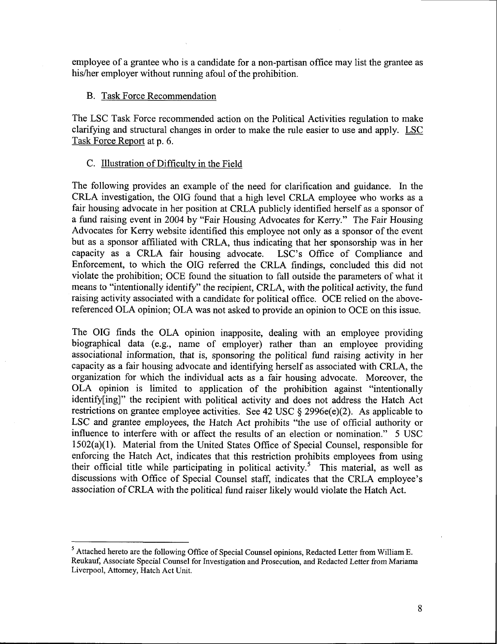employee of a grantee who is a candidate for a non-partisan office may list the grantee as his/her employer without running afoul of the prohibition.

# B. Task Force Recommendation

The LSC Task Force recommended action on the Political Activities regulation to make clarifying and structural changes in order to make the rule easier to use and apply. LSC Task Force Report at p. 6.

# C. Illustration of Difficultv in the Field

The following provides an example of the need for clarification and guidance. In the CRLA investigation, the OIG found that a high level CRLA employee who works as a fair housing advocate in her position at CRLA publicly identified herself as a sponsor of a fund raising event in 2004 by "Fair Housing Advocates for Kerry." The Fair Housing Advocates for Kerry website identified this employee not only as a sponsor of the event but as a sponsor affiliated with CRLA, thus indicating that her sponsorship was in her capacity as a CRLA fair housing advocate. LSC's Office of Compliance and Enforcement, to which the OIG referred the CRLA findings, concluded this did not violate the prohibition; OCE found the situation to fall outside the parameters of what it means to "intentionally identify" the recipient, CRLA, with the political activity, the fund raising activity associated with a candidate for political office. OCE relied on the abovereferenced OLA opinion; OLA was not asked to provide an opinion to OCE on this issue.

The OIG finds the OLA opinion inapposite, dealing with an employee providing biographical data (e.g., name of employer) rather than an employee providing associational information, that is, sponsoring the political fund raising activity in her capacity as a fair housing advocate and identifying herself as associated with CRLA, the organization for which the individual acts as a fair housing advocate. Moreover, the OLA opinion is limited to application of the prohibition against "intentionally identify[ing]" the recipient with political activity and does not address the Hatch Act restrictions on grantee employee activities. See 42 USC  $\S$  2996e(e)(2). As applicable to LSC and grantee employees, the Hatch Act prohibits "the use of official authority or influence to interfere with or affect the results of an election or nomination." 5 USC 1502(a)(l). Material from the United States Office of Special Counsel, responsible for enforcing the Hatch Act, indicates that this restriction prohibits employees from using their official title while participating in political activity.<sup>5</sup> This material, as well as discussions with Office of Special Counsel staff, indicates that the CRLA employee's association of CRLA with the political fund raiser likely would violate the Hatch Act.

**<sup>5</sup>**Attached hereto are the following Office of Special Counsel opinions, Redacted Letter from William E. Reukauf, Associate Special Counsel for Investigation and Prosecution, and Redacted Letter from Mariama Liverpool, Attorney, Hatch Act Unit.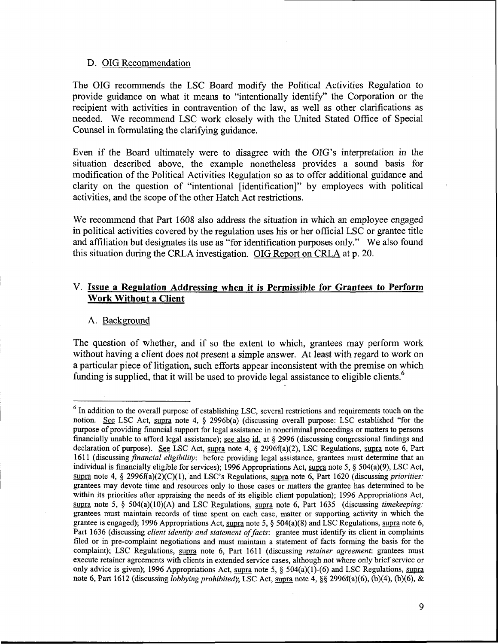# D. OIG Recommendation

The OIG recommends the LSC Board modify the Political Activities Regulation to provide guidance on what it means to "intentionally identify" the Corporation or the recipient with activities in contravention of the law, as well as other clarifications as needed. We recommend LSC work closely with the United Stated Office of Special Counsel in formulating the clarifying guidance.

Even if the Board ultimately were to disagree with the OIG's interpretation in the situation described above, the example nonetheless provides a sound basis for modification of the Political Activities Regulation so as to offer additional guidance and clarity on the question of "intentional [identification]" by employees with political activities, and the scope of the other Hatch Act restrictions.

We recommend that Part 1608 also address the situation in which an employee engaged in political activities covered by the regulation uses his or her official LSC or grantee title and affiliation but designates its use as "for identification purposes only." We also found this situation during the CRLA investigation. OIG Report on CRLA at p. 20.

# **V. Issue a Regulation Addressing when it is Permissible for Grantees to Perform Work Without a Client**

# A. Background

The question of whether, and if so the extent to which, grantees may perform work without having a client does not present a simple answer. At least with regard to work on a particular piece of litigation, such efforts appear inconsistent with the premise on which funding is supplied, that it will be used to provide legal assistance to eligible clients. $^6$ 

<sup>&</sup>lt;sup>6</sup> In addition to the overall purpose of establishing LSC, several restrictions and requirements touch on the notion. See LSC Act, supra note 4,  $\S$  2996b(a) (discussing overall purpose: LSC established "for the purpose of providing financial support for legal assistance in noncriminal proceedings or matters to persons financially unable to afford legal assistance); see also id. at **5** 2996 (discussing congressional findings and declaration of purpose). See LSC Act, supra note 4, § 2996f(a)(2), LSC Regulations, supra note 6, Part 1611 (discussing *financial eligibility*: before providing legal assistance, grantees must determine that an notion. See LSC Act, supra note 4, § 2996b(a) (discussing overall purpose: LSC established "for the purpose of providing financial support for legal assistance in noncriminal proceedings or matters to persons financially u purpose of providing financial support for legal assistance in noncriminal proceedings or matters to persons financially unable to afford legal assistance); <u>see also id.</u> at § 2996 (discussing congressional findings and d grantees may devote time and resources only to those cases or matters the grantee has determined to be within its priorities after appraising the needs of its eligible client population); 1996 Appropriations Act, supra note 5, § 504(a)(10)(A) and LSC Regulations, supra note 6, Part 1635 (discussing *timekeeping*: grantees must maintain records of time spent on each case, matter or supporting activity in which the grantee is engaged); 1996 Appropriations Act, supra note 5,  $\S$  504(a)(8) and LSC Regulations, supra note 6, Part 1636 (discussing *client identity and statement of facts*: grantee must identify its client in complaints filed or in pre-complaint negotiations and must maintain a statement of facts forming the basis for the complaint); LSC Regulations, supra note 6, Part 1611 (discussing retainer agreement: grantees must execute retainer agreements with clients in extended service cases, although not where only brief service or grantee is engaged); 1996 Appropriations Act, supra note 5, § 504(a)(8) and LSC Regulations, supra note 6, Part 1636 (discussing *client identity and statement of facts*: grantee must identify its client in complaints file